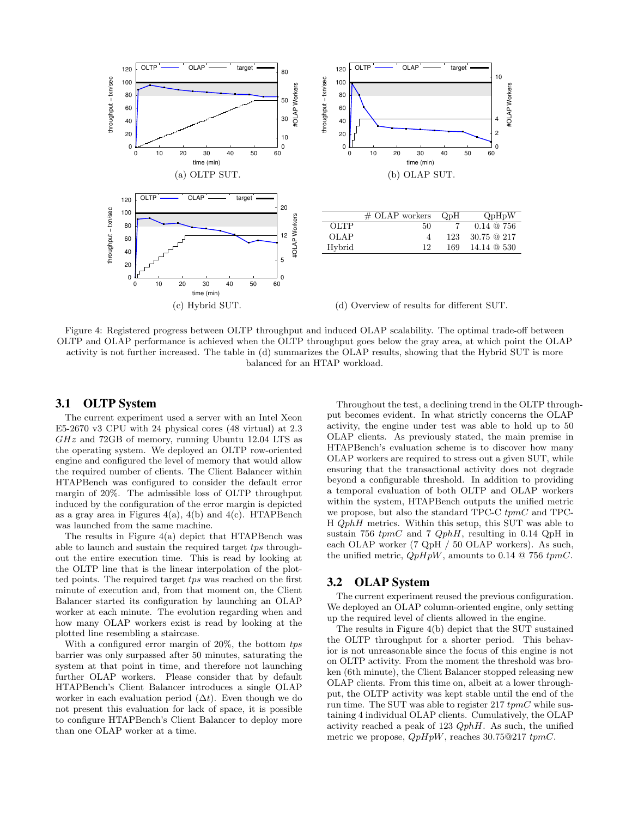

Figure 4: Registered progress between OLTP throughput and induced OLAP scalability. The optimal trade-off between OLTP and OLAP performance is achieved when the OLTP throughput goes below the gray area, at which point the OLAP activity is not further increased. The table in (d) summarizes the OLAP results, showing that the Hybrid SUT is more balanced for an HTAP workload.

#### 3.1 OLTP System

The current experiment used a server with an Intel Xeon E5-2670 v3 CPU with 24 physical cores (48 virtual) at 2.3  $GHz$  and  $72GB$  of memory, running Ubuntu 12.04 LTS as the operating system. We deployed an OLTP row-oriented engine and configured the level of memory that would allow the required number of clients. The Client Balancer within HTAPBench was configured to consider the default error margin of 20%. The admissible loss of OLTP throughput induced by the configuration of the error margin is depicted as a gray area in Figures  $4(a)$ ,  $4(b)$  and  $4(c)$ . HTAPBench was launched from the same machine.

The results in Figure 4(a) depict that HTAPBench was able to launch and sustain the required target tps throughout the entire execution time. This is read by looking at the OLTP line that is the linear interpolation of the plotted points. The required target tps was reached on the first minute of execution and, from that moment on, the Client Balancer started its configuration by launching an OLAP worker at each minute. The evolution regarding when and how many OLAP workers exist is read by looking at the plotted line resembling a staircase.

With a configured error margin of 20%, the bottom tps barrier was only surpassed after 50 minutes, saturating the system at that point in time, and therefore not launching further OLAP workers. Please consider that by default HTAPBench's Client Balancer introduces a single OLAP worker in each evaluation period  $(\Delta t)$ . Even though we do not present this evaluation for lack of space, it is possible to configure HTAPBench's Client Balancer to deploy more than one OLAP worker at a time.

Throughout the test, a declining trend in the OLTP throughput becomes evident. In what strictly concerns the OLAP activity, the engine under test was able to hold up to 50 OLAP clients. As previously stated, the main premise in HTAPBench's evaluation scheme is to discover how many OLAP workers are required to stress out a given SUT, while ensuring that the transactional activity does not degrade beyond a configurable threshold. In addition to providing a temporal evaluation of both OLTP and OLAP workers within the system, HTAPBench outputs the unified metric we propose, but also the standard TPC-C tpmC and TPC-H QphH metrics. Within this setup, this SUT was able to sustain 756  $tpmC$  and 7  $QphH$ , resulting in 0.14  $QpH$  in each OLAP worker (7 QpH / 50 OLAP workers). As such, the unified metric,  $QpHpW$ , amounts to 0.14 @ 756  $tpmC$ .

#### 3.2 OLAP System

The current experiment reused the previous configuration. We deployed an OLAP column-oriented engine, only setting up the required level of clients allowed in the engine.

The results in Figure 4(b) depict that the SUT sustained the OLTP throughput for a shorter period. This behavior is not unreasonable since the focus of this engine is not on OLTP activity. From the moment the threshold was broken (6th minute), the Client Balancer stopped releasing new OLAP clients. From this time on, albeit at a lower throughput, the OLTP activity was kept stable until the end of the run time. The SUT was able to register 217  $tpmC$  while sustaining 4 individual OLAP clients. Cumulatively, the OLAP activity reached a peak of 123  $QphH$ . As such, the unified metric we propose,  $QpHpW$ , reaches 30.75 $@217$  tpmC.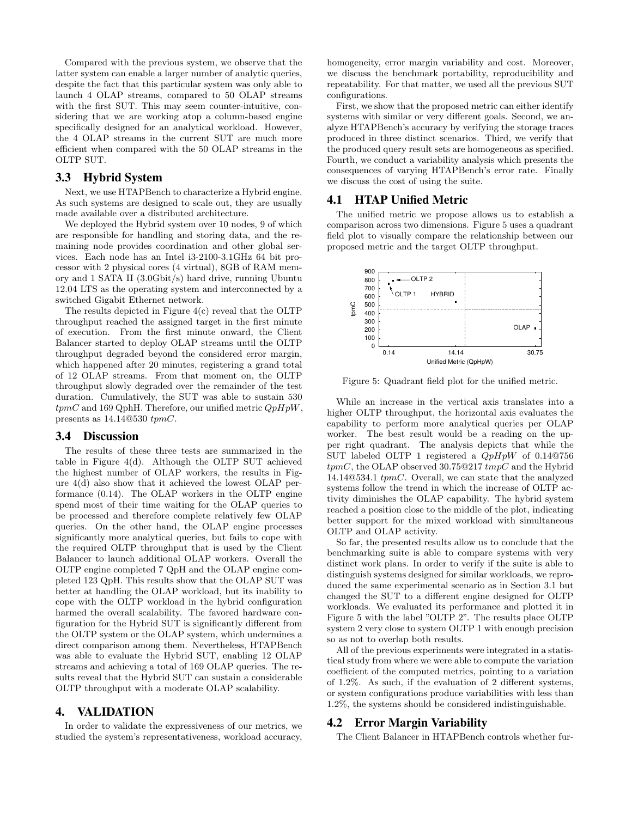Compared with the previous system, we observe that the latter system can enable a larger number of analytic queries, despite the fact that this particular system was only able to launch 4 OLAP streams, compared to 50 OLAP streams with the first SUT. This may seem counter-intuitive, considering that we are working atop a column-based engine specifically designed for an analytical workload. However, the 4 OLAP streams in the current SUT are much more efficient when compared with the 50 OLAP streams in the OLTP SUT.

#### 3.3 Hybrid System

Next, we use HTAPBench to characterize a Hybrid engine. As such systems are designed to scale out, they are usually made available over a distributed architecture.

We deployed the Hybrid system over 10 nodes, 9 of which are responsible for handling and storing data, and the remaining node provides coordination and other global services. Each node has an Intel i3-2100-3.1GHz 64 bit processor with 2 physical cores (4 virtual), 8GB of RAM memory and 1 SATA II (3.0Gbit/s) hard drive, running Ubuntu 12.04 LTS as the operating system and interconnected by a switched Gigabit Ethernet network.

The results depicted in Figure  $4(c)$  reveal that the OLTP throughput reached the assigned target in the first minute of execution. From the first minute onward, the Client Balancer started to deploy OLAP streams until the OLTP throughput degraded beyond the considered error margin, which happened after 20 minutes, registering a grand total of 12 OLAP streams. From that moment on, the OLTP throughput slowly degraded over the remainder of the test duration. Cumulatively, the SUT was able to sustain 530  $tpmC$  and 169 QphH. Therefore, our unified metric  $QpHpW$ , presents as  $14.14@530$  tpmC.

#### 3.4 Discussion

The results of these three tests are summarized in the table in Figure 4(d). Although the OLTP SUT achieved the highest number of OLAP workers, the results in Figure 4(d) also show that it achieved the lowest OLAP performance (0.14). The OLAP workers in the OLTP engine spend most of their time waiting for the OLAP queries to be processed and therefore complete relatively few OLAP queries. On the other hand, the OLAP engine processes significantly more analytical queries, but fails to cope with the required OLTP throughput that is used by the Client Balancer to launch additional OLAP workers. Overall the OLTP engine completed 7 QpH and the OLAP engine completed 123 QpH. This results show that the OLAP SUT was better at handling the OLAP workload, but its inability to cope with the OLTP workload in the hybrid configuration harmed the overall scalability. The favored hardware configuration for the Hybrid SUT is significantly different from the OLTP system or the OLAP system, which undermines a direct comparison among them. Nevertheless, HTAPBench was able to evaluate the Hybrid SUT, enabling 12 OLAP streams and achieving a total of 169 OLAP queries. The results reveal that the Hybrid SUT can sustain a considerable OLTP throughput with a moderate OLAP scalability.

### 4. VALIDATION

In order to validate the expressiveness of our metrics, we studied the system's representativeness, workload accuracy,

homogeneity, error margin variability and cost. Moreover, we discuss the benchmark portability, reproducibility and repeatability. For that matter, we used all the previous SUT configurations.

First, we show that the proposed metric can either identify systems with similar or very different goals. Second, we analyze HTAPBench's accuracy by verifying the storage traces produced in three distinct scenarios. Third, we verify that the produced query result sets are homogeneous as specified. Fourth, we conduct a variability analysis which presents the consequences of varying HTAPBench's error rate. Finally we discuss the cost of using the suite.

#### 4.1 HTAP Unified Metric

The unified metric we propose allows us to establish a comparison across two dimensions. Figure 5 uses a quadrant field plot to visually compare the relationship between our proposed metric and the target OLTP throughput.



Figure 5: Quadrant field plot for the unified metric.

While an increase in the vertical axis translates into a higher OLTP throughput, the horizontal axis evaluates the capability to perform more analytical queries per OLAP worker. The best result would be a reading on the upper right quadrant. The analysis depicts that while the SUT labeled OLTP 1 registered a  $QpHpW$  of 0.14@756  $tpmC$ , the OLAP observed 30.75@217  $tmpC$  and the Hybrid 14.14@534.1 tpmC. Overall, we can state that the analyzed systems follow the trend in which the increase of OLTP activity diminishes the OLAP capability. The hybrid system reached a position close to the middle of the plot, indicating better support for the mixed workload with simultaneous OLTP and OLAP activity.

So far, the presented results allow us to conclude that the benchmarking suite is able to compare systems with very distinct work plans. In order to verify if the suite is able to distinguish systems designed for similar workloads, we reproduced the same experimental scenario as in Section 3.1 but changed the SUT to a different engine designed for OLTP workloads. We evaluated its performance and plotted it in Figure 5 with the label "OLTP 2". The results place OLTP system 2 very close to system OLTP 1 with enough precision so as not to overlap both results.

All of the previous experiments were integrated in a statistical study from where we were able to compute the variation coefficient of the computed metrics, pointing to a variation of 1.2%. As such, if the evaluation of 2 different systems, or system configurations produce variabilities with less than 1.2%, the systems should be considered indistinguishable.

### 4.2 Error Margin Variability

The Client Balancer in HTAPBench controls whether fur-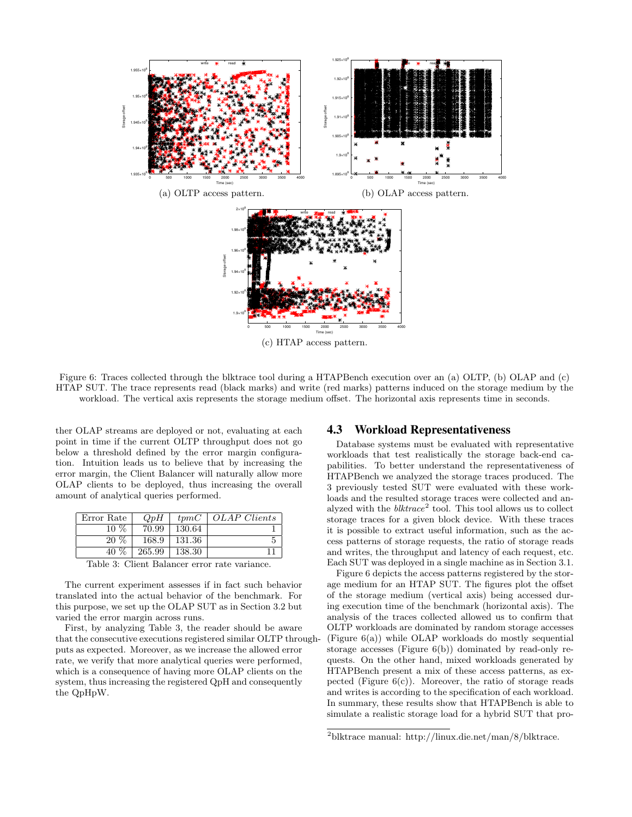

Figure 6: Traces collected through the blktrace tool during a HTAPBench execution over an (a) OLTP, (b) OLAP and (c) HTAP SUT. The trace represents read (black marks) and write (red marks) patterns induced on the storage medium by the workload. The vertical axis represents the storage medium offset. The horizontal axis represents time in seconds.

ther OLAP streams are deployed or not, evaluating at each point in time if the current OLTP throughput does not go below a threshold defined by the error margin configuration. Intuition leads us to believe that by increasing the error margin, the Client Balancer will naturally allow more OLAP clients to be deployed, thus increasing the overall amount of analytical queries performed.

| Error Rate                         | QpH    |        | $tpmC$   OLAP Clients |
|------------------------------------|--------|--------|-----------------------|
| $10\%$                             | 70.99  | 130.64 |                       |
| $20\%$                             | 168.9  | 131.36 |                       |
| 40 %                               | 265.99 | 138.30 |                       |
| $\sim$ $\sim$ $\sim$ $\sim$ $\sim$ |        |        |                       |

Table 3: Client Balancer error rate variance.

The current experiment assesses if in fact such behavior translated into the actual behavior of the benchmark. For this purpose, we set up the OLAP SUT as in Section 3.2 but varied the error margin across runs.

First, by analyzing Table 3, the reader should be aware that the consecutive executions registered similar OLTP throughputs as expected. Moreover, as we increase the allowed error rate, we verify that more analytical queries were performed, which is a consequence of having more OLAP clients on the system, thus increasing the registered QpH and consequently the QpHpW.

#### 4.3 Workload Representativeness

Database systems must be evaluated with representative workloads that test realistically the storage back-end capabilities. To better understand the representativeness of HTAPBench we analyzed the storage traces produced. The 3 previously tested SUT were evaluated with these workloads and the resulted storage traces were collected and analyzed with the  $blktrace^2$  tool. This tool allows us to collect storage traces for a given block device. With these traces it is possible to extract useful information, such as the access patterns of storage requests, the ratio of storage reads and writes, the throughput and latency of each request, etc. Each SUT was deployed in a single machine as in Section 3.1.

Figure 6 depicts the access patterns registered by the storage medium for an HTAP SUT. The figures plot the offset of the storage medium (vertical axis) being accessed during execution time of the benchmark (horizontal axis). The analysis of the traces collected allowed us to confirm that OLTP workloads are dominated by random storage accesses (Figure 6(a)) while OLAP workloads do mostly sequential storage accesses (Figure 6(b)) dominated by read-only requests. On the other hand, mixed workloads generated by HTAPBench present a mix of these access patterns, as expected (Figure  $6(c)$ ). Moreover, the ratio of storage reads and writes is according to the specification of each workload. In summary, these results show that HTAPBench is able to simulate a realistic storage load for a hybrid SUT that pro-

<sup>2</sup>blktrace manual: http://linux.die.net/man/8/blktrace.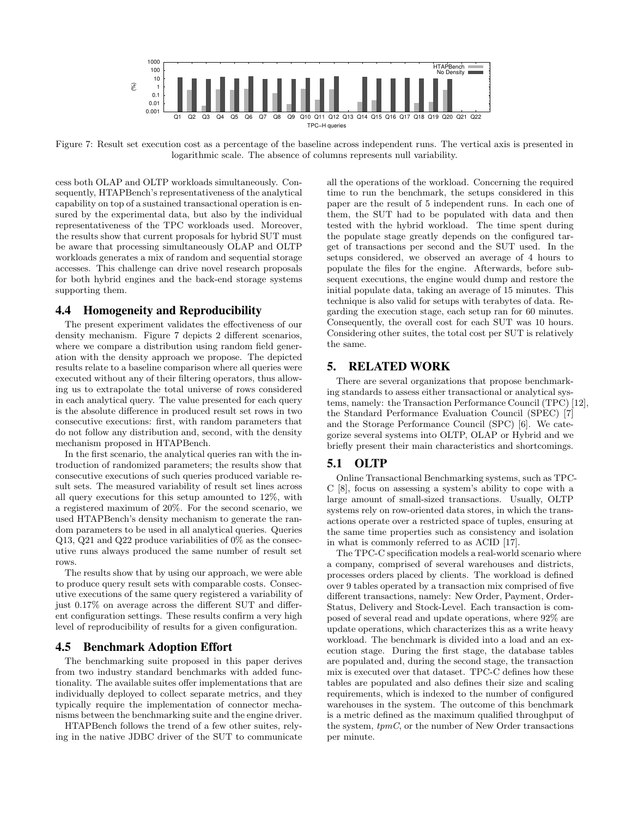

Figure 7: Result set execution cost as a percentage of the baseline across independent runs. The vertical axis is presented in logarithmic scale. The absence of columns represents null variability.

cess both OLAP and OLTP workloads simultaneously. Consequently, HTAPBench's representativeness of the analytical capability on top of a sustained transactional operation is ensured by the experimental data, but also by the individual representativeness of the TPC workloads used. Moreover, the results show that current proposals for hybrid SUT must be aware that processing simultaneously OLAP and OLTP workloads generates a mix of random and sequential storage accesses. This challenge can drive novel research proposals for both hybrid engines and the back-end storage systems supporting them.

#### 4.4 Homogeneity and Reproducibility

The present experiment validates the effectiveness of our density mechanism. Figure 7 depicts 2 different scenarios, where we compare a distribution using random field generation with the density approach we propose. The depicted results relate to a baseline comparison where all queries were executed without any of their filtering operators, thus allowing us to extrapolate the total universe of rows considered in each analytical query. The value presented for each query is the absolute difference in produced result set rows in two consecutive executions: first, with random parameters that do not follow any distribution and, second, with the density mechanism proposed in HTAPBench.

In the first scenario, the analytical queries ran with the introduction of randomized parameters; the results show that consecutive executions of such queries produced variable result sets. The measured variability of result set lines across all query executions for this setup amounted to 12%, with a registered maximum of 20%. For the second scenario, we used HTAPBench's density mechanism to generate the random parameters to be used in all analytical queries. Queries Q13, Q21 and Q22 produce variabilities of 0% as the consecutive runs always produced the same number of result set rows.

The results show that by using our approach, we were able to produce query result sets with comparable costs. Consecutive executions of the same query registered a variability of just 0.17% on average across the different SUT and different configuration settings. These results confirm a very high level of reproducibility of results for a given configuration.

# 4.5 Benchmark Adoption Effort

The benchmarking suite proposed in this paper derives from two industry standard benchmarks with added functionality. The available suites offer implementations that are individually deployed to collect separate metrics, and they typically require the implementation of connector mechanisms between the benchmarking suite and the engine driver.

HTAPBench follows the trend of a few other suites, relying in the native JDBC driver of the SUT to communicate all the operations of the workload. Concerning the required time to run the benchmark, the setups considered in this paper are the result of 5 independent runs. In each one of them, the SUT had to be populated with data and then tested with the hybrid workload. The time spent during the populate stage greatly depends on the configured target of transactions per second and the SUT used. In the setups considered, we observed an average of 4 hours to populate the files for the engine. Afterwards, before subsequent executions, the engine would dump and restore the initial populate data, taking an average of 15 minutes. This technique is also valid for setups with terabytes of data. Regarding the execution stage, each setup ran for 60 minutes. Consequently, the overall cost for each SUT was 10 hours. Considering other suites, the total cost per SUT is relatively the same.

# 5. RELATED WORK

There are several organizations that propose benchmarking standards to assess either transactional or analytical systems, namely: the Transaction Performance Council (TPC) [12], the Standard Performance Evaluation Council (SPEC) [7] and the Storage Performance Council (SPC) [6]. We categorize several systems into OLTP, OLAP or Hybrid and we briefly present their main characteristics and shortcomings.

# 5.1 OLTP

Online Transactional Benchmarking systems, such as TPC-C [8], focus on assessing a system's ability to cope with a large amount of small-sized transactions. Usually, OLTP systems rely on row-oriented data stores, in which the transactions operate over a restricted space of tuples, ensuring at the same time properties such as consistency and isolation in what is commonly referred to as ACID [17].

The TPC-C specification models a real-world scenario where a company, comprised of several warehouses and districts, processes orders placed by clients. The workload is defined over 9 tables operated by a transaction mix comprised of five different transactions, namely: New Order, Payment, Order-Status, Delivery and Stock-Level. Each transaction is composed of several read and update operations, where 92% are update operations, which characterizes this as a write heavy workload. The benchmark is divided into a load and an execution stage. During the first stage, the database tables are populated and, during the second stage, the transaction mix is executed over that dataset. TPC-C defines how these tables are populated and also defines their size and scaling requirements, which is indexed to the number of configured warehouses in the system. The outcome of this benchmark is a metric defined as the maximum qualified throughput of the system,  $tpmC$ , or the number of New Order transactions per minute.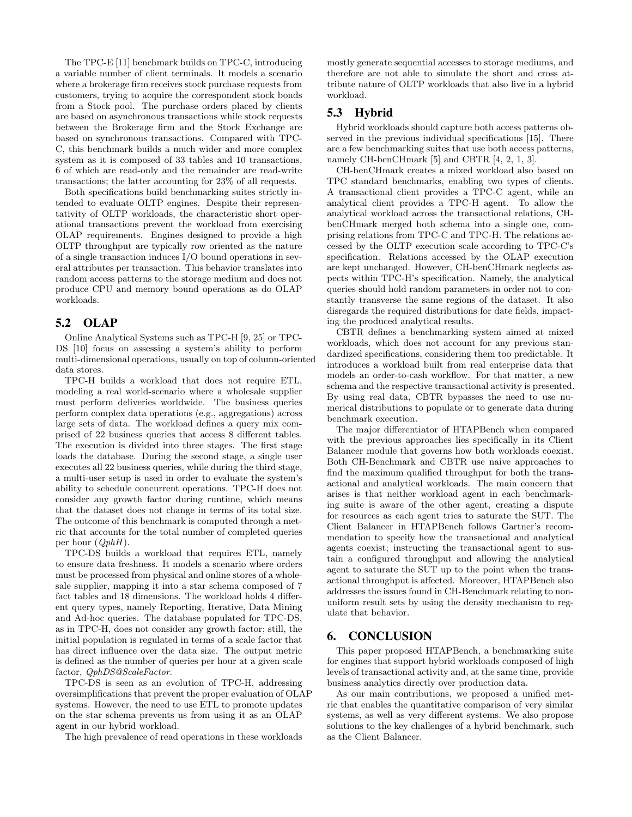The TPC-E [11] benchmark builds on TPC-C, introducing a variable number of client terminals. It models a scenario where a brokerage firm receives stock purchase requests from customers, trying to acquire the correspondent stock bonds from a Stock pool. The purchase orders placed by clients are based on asynchronous transactions while stock requests between the Brokerage firm and the Stock Exchange are based on synchronous transactions. Compared with TPC-C, this benchmark builds a much wider and more complex system as it is composed of 33 tables and 10 transactions, 6 of which are read-only and the remainder are read-write transactions; the latter accounting for 23% of all requests.

Both specifications build benchmarking suites strictly intended to evaluate OLTP engines. Despite their representativity of OLTP workloads, the characteristic short operational transactions prevent the workload from exercising OLAP requirements. Engines designed to provide a high OLTP throughput are typically row oriented as the nature of a single transaction induces I/O bound operations in several attributes per transaction. This behavior translates into random access patterns to the storage medium and does not produce CPU and memory bound operations as do OLAP workloads.

# 5.2 OLAP

Online Analytical Systems such as TPC-H [9, 25] or TPC-DS [10] focus on assessing a system's ability to perform multi-dimensional operations, usually on top of column-oriented data stores.

TPC-H builds a workload that does not require ETL, modeling a real world-scenario where a wholesale supplier must perform deliveries worldwide. The business queries perform complex data operations (e.g., aggregations) across large sets of data. The workload defines a query mix comprised of 22 business queries that access 8 different tables. The execution is divided into three stages. The first stage loads the database. During the second stage, a single user executes all 22 business queries, while during the third stage, a multi-user setup is used in order to evaluate the system's ability to schedule concurrent operations. TPC-H does not consider any growth factor during runtime, which means that the dataset does not change in terms of its total size. The outcome of this benchmark is computed through a metric that accounts for the total number of completed queries per hour  $(QphH)$ .

TPC-DS builds a workload that requires ETL, namely to ensure data freshness. It models a scenario where orders must be processed from physical and online stores of a wholesale supplier, mapping it into a star schema composed of 7 fact tables and 18 dimensions. The workload holds 4 different query types, namely Reporting, Iterative, Data Mining and Ad-hoc queries. The database populated for TPC-DS, as in TPC-H, does not consider any growth factor; still, the initial population is regulated in terms of a scale factor that has direct influence over the data size. The output metric is defined as the number of queries per hour at a given scale factor, QphDS@ScaleFactor.

TPC-DS is seen as an evolution of TPC-H, addressing oversimplifications that prevent the proper evaluation of OLAP systems. However, the need to use ETL to promote updates on the star schema prevents us from using it as an OLAP agent in our hybrid workload.

The high prevalence of read operations in these workloads

mostly generate sequential accesses to storage mediums, and therefore are not able to simulate the short and cross attribute nature of OLTP workloads that also live in a hybrid workload.

### 5.3 Hybrid

Hybrid workloads should capture both access patterns observed in the previous individual specifications [15]. There are a few benchmarking suites that use both access patterns, namely CH-benCHmark [5] and CBTR [4, 2, 1, 3].

CH-benCHmark creates a mixed workload also based on TPC standard benchmarks, enabling two types of clients. A transactional client provides a TPC-C agent, while an analytical client provides a TPC-H agent. To allow the analytical workload across the transactional relations, CHbenCHmark merged both schema into a single one, comprising relations from TPC-C and TPC-H. The relations accessed by the OLTP execution scale according to TPC-C's specification. Relations accessed by the OLAP execution are kept unchanged. However, CH-benCHmark neglects aspects within TPC-H's specification. Namely, the analytical queries should hold random parameters in order not to constantly transverse the same regions of the dataset. It also disregards the required distributions for date fields, impacting the produced analytical results.

CBTR defines a benchmarking system aimed at mixed workloads, which does not account for any previous standardized specifications, considering them too predictable. It introduces a workload built from real enterprise data that models an order-to-cash workflow. For that matter, a new schema and the respective transactional activity is presented. By using real data, CBTR bypasses the need to use numerical distributions to populate or to generate data during benchmark execution.

The major differentiator of HTAPBench when compared with the previous approaches lies specifically in its Client Balancer module that governs how both workloads coexist. Both CH-Benchmark and CBTR use naive approaches to find the maximum qualified throughput for both the transactional and analytical workloads. The main concern that arises is that neither workload agent in each benchmarking suite is aware of the other agent, creating a dispute for resources as each agent tries to saturate the SUT. The Client Balancer in HTAPBench follows Gartner's recommendation to specify how the transactional and analytical agents coexist; instructing the transactional agent to sustain a configured throughput and allowing the analytical agent to saturate the SUT up to the point when the transactional throughput is affected. Moreover, HTAPBench also addresses the issues found in CH-Benchmark relating to nonuniform result sets by using the density mechanism to regulate that behavior.

### 6. CONCLUSION

This paper proposed HTAPBench, a benchmarking suite for engines that support hybrid workloads composed of high levels of transactional activity and, at the same time, provide business analytics directly over production data.

As our main contributions, we proposed a unified metric that enables the quantitative comparison of very similar systems, as well as very different systems. We also propose solutions to the key challenges of a hybrid benchmark, such as the Client Balancer.